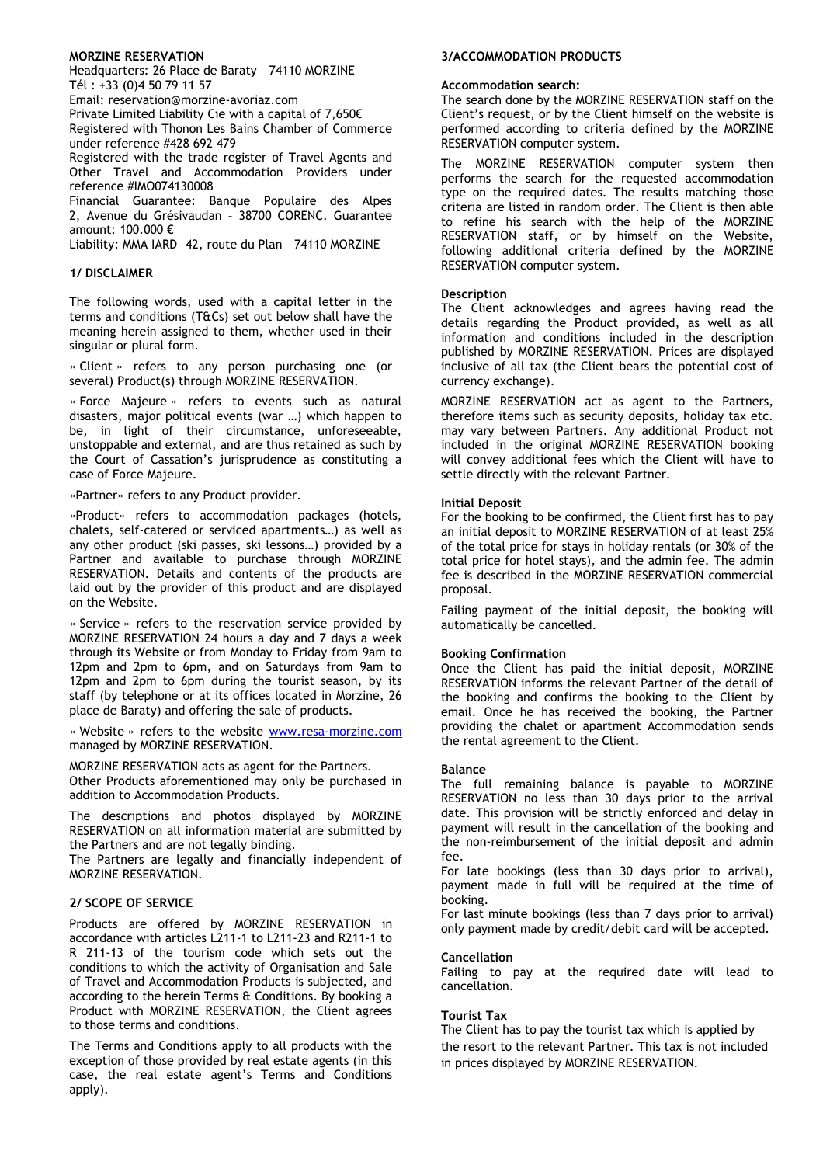## MORZINE RESERVATION

Headquarters: 26 Place de Baraty – 74110 MORZINE Tél : +33 (0)4 50 79 11 57

Email: reservation@morzine-avoriaz.com

Private Limited Liability Cie with a capital of 7,650€

Registered with Thonon Les Bains Chamber of Commerce under reference #428 692 479

Registered with the trade register of Travel Agents and Other Travel and Accommodation Providers under reference #IMO074130008

Financial Guarantee: Banque Populaire des Alpes 2, Avenue du Grésivaudan – 38700 CORENC. Guarantee amount:  $100.000 \in$ 

Liability: MMA IARD –42, route du Plan – 74110 MORZINE

## 1/ DISCLAIMER

The following words, used with a capital letter in the terms and conditions (T&Cs) set out below shall have the meaning herein assigned to them, whether used in their singular or plural form.

« Client » refers to any person purchasing one (or several) Product(s) through MORZINE RESERVATION.

« Force Majeure » refers to events such as natural disasters, major political events (war …) which happen to be, in light of their circumstance, unforeseeable, unstoppable and external, and are thus retained as such by the Court of Cassation's jurisprudence as constituting a case of Force Majeure.

«Partner» refers to any Product provider.

«Product» refers to accommodation packages (hotels, chalets, self-catered or serviced apartments…) as well as any other product (ski passes, ski lessons…) provided by a Partner and available to purchase through MORZINE RESERVATION. Details and contents of the products are laid out by the provider of this product and are displayed on the Website.

« Service » refers to the reservation service provided by MORZINE RESERVATION 24 hours a day and 7 days a week through its Website or from Monday to Friday from 9am to 12pm and 2pm to 6pm, and on Saturdays from 9am to 12pm and 2pm to 6pm during the tourist season, by its staff (by telephone or at its offices located in Morzine, 26 place de Baraty) and offering the sale of products.

« Website » refers to the website www.resa-morzine.com managed by MORZINE RESERVATION.

MORZINE RESERVATION acts as agent for the Partners. Other Products aforementioned may only be purchased in

addition to Accommodation Products. The descriptions and photos displayed by MORZINE

RESERVATION on all information material are submitted by the Partners and are not legally binding.

The Partners are legally and financially independent of MORZINE RESERVATION.

# 2/ SCOPE OF SERVICE

Products are offered by MORZINE RESERVATION in accordance with articles L211-1 to L211-23 and R211-1 to R 211-13 of the tourism code which sets out the conditions to which the activity of Organisation and Sale of Travel and Accommodation Products is subjected, and according to the herein Terms & Conditions. By booking a Product with MORZINE RESERVATION, the Client agrees to those terms and conditions.

 The Terms and Conditions apply to all products with the exception of those provided by real estate agents (in this case, the real estate agent's Terms and Conditions apply).

## 3/ACCOMMODATION PRODUCTS

## Accommodation search:

The search done by the MORZINE RESERVATION staff on the Client's request, or by the Client himself on the website is performed according to criteria defined by the MORZINE RESERVATION computer system.

The MORZINE RESERVATION computer system then performs the search for the requested accommodation type on the required dates. The results matching those criteria are listed in random order. The Client is then able to refine his search with the help of the MORZINE RESERVATION staff, or by himself on the Website, following additional criteria defined by the MORZINE RESERVATION computer system.

## Description

The Client acknowledges and agrees having read the details regarding the Product provided, as well as all information and conditions included in the description published by MORZINE RESERVATION. Prices are displayed inclusive of all tax (the Client bears the potential cost of currency exchange).

MORZINE RESERVATION act as agent to the Partners, therefore items such as security deposits, holiday tax etc. may vary between Partners. Any additional Product not included in the original MORZINE RESERVATION booking will convey additional fees which the Client will have to settle directly with the relevant Partner.

## Initial Deposit

For the booking to be confirmed, the Client first has to pay an initial deposit to MORZINE RESERVATION of at least 25% of the total price for stays in holiday rentals (or 30% of the total price for hotel stays), and the admin fee. The admin fee is described in the MORZINE RESERVATION commercial proposal.

Failing payment of the initial deposit, the booking will automatically be cancelled.

### Booking Confirmation

Once the Client has paid the initial deposit, MORZINE RESERVATION informs the relevant Partner of the detail of the booking and confirms the booking to the Client by email. Once he has received the booking, the Partner providing the chalet or apartment Accommodation sends the rental agreement to the Client.

### Balance

The full remaining balance is payable to MORZINE RESERVATION no less than 30 days prior to the arrival date. This provision will be strictly enforced and delay in payment will result in the cancellation of the booking and the non-reimbursement of the initial deposit and admin fee.

For late bookings (less than 30 days prior to arrival), payment made in full will be required at the time of booking.

For last minute bookings (less than 7 days prior to arrival) only payment made by credit/debit card will be accepted.

### Cancellation

Failing to pay at the required date will lead to cancellation.

### Tourist Tax

The Client has to pay the tourist tax which is applied by the resort to the relevant Partner. This tax is not included in prices displayed by MORZINE RESERVATION.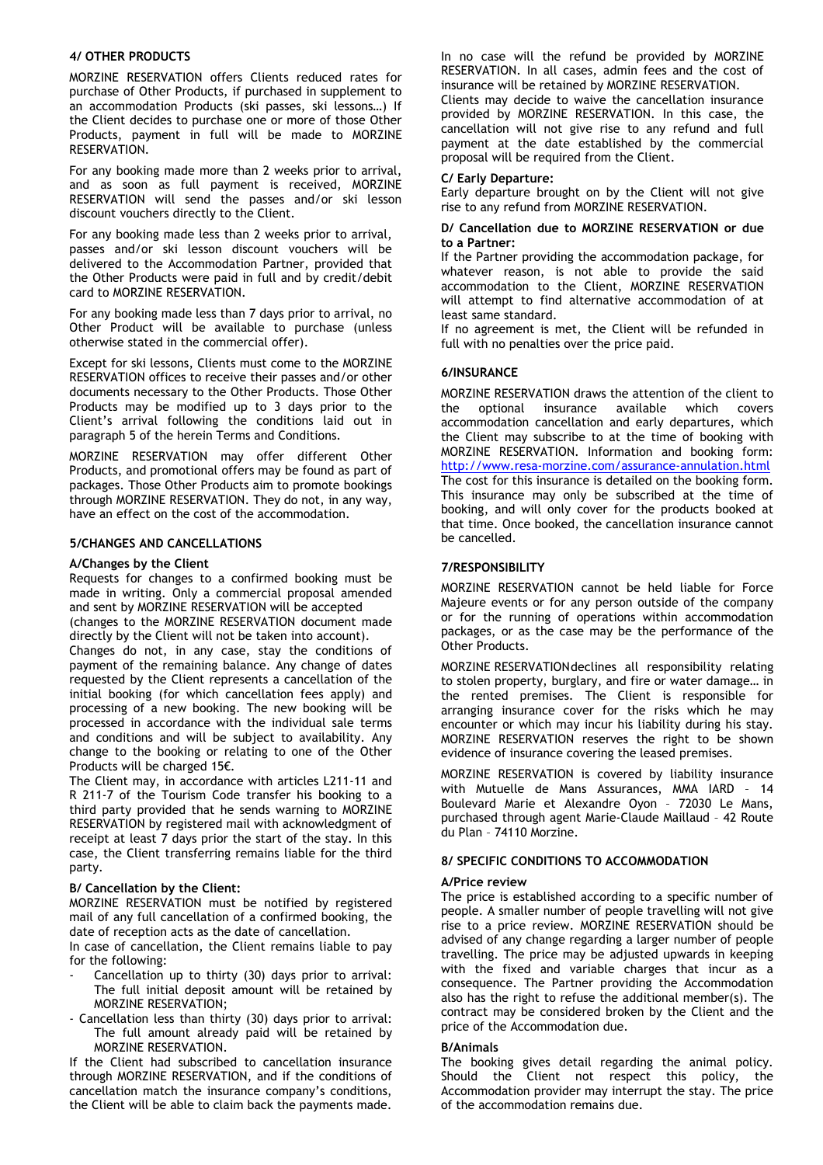## 4/ OTHER PRODUCTS

MORZINE RESERVATION offers Clients reduced rates for purchase of Other Products, if purchased in supplement to an accommodation Products (ski passes, ski lessons…) If the Client decides to purchase one or more of those Other Products, payment in full will be made to MORZINE RESERVATION.

For any booking made more than 2 weeks prior to arrival, and as soon as full payment is received, MORZINE RESERVATION will send the passes and/or ski lesson discount vouchers directly to the Client.

For any booking made less than 2 weeks prior to arrival, passes and/or ski lesson discount vouchers will be delivered to the Accommodation Partner, provided that the Other Products were paid in full and by credit/debit card to MORZINE RESERVATION.

For any booking made less than 7 days prior to arrival, no Other Product will be available to purchase (unless otherwise stated in the commercial offer).

Except for ski lessons, Clients must come to the MORZINE RESERVATION offices to receive their passes and/or other documents necessary to the Other Products. Those Other Products may be modified up to 3 days prior to the Client's arrival following the conditions laid out in paragraph 5 of the herein Terms and Conditions.

MORZINE RESERVATION may offer different Other Products, and promotional offers may be found as part of packages. Those Other Products aim to promote bookings through MORZINE RESERVATION. They do not, in any way, have an effect on the cost of the accommodation.

## 5/CHANGES AND CANCELLATIONS

## A/Changes by the Client

Requests for changes to a confirmed booking must be made in writing. Only a commercial proposal amended and sent by MORZINE RESERVATION will be accepted

(changes to the MORZINE RESERVATION document made directly by the Client will not be taken into account).

Changes do not, in any case, stay the conditions of payment of the remaining balance. Any change of dates requested by the Client represents a cancellation of the initial booking (for which cancellation fees apply) and processing of a new booking. The new booking will be processed in accordance with the individual sale terms and conditions and will be subject to availability. Any change to the booking or relating to one of the Other Products will be charged 15€.

The Client may, in accordance with articles L211-11 and R 211-7 of the Tourism Code transfer his booking to a third party provided that he sends warning to MORZINE RESERVATION by registered mail with acknowledgment of receipt at least 7 days prior the start of the stay. In this case, the Client transferring remains liable for the third party.

### B/ Cancellation by the Client:

MORZINE RESERVATION must be notified by registered mail of any full cancellation of a confirmed booking, the date of reception acts as the date of cancellation.

In case of cancellation, the Client remains liable to pay for the following:

- Cancellation up to thirty (30) days prior to arrival: The full initial deposit amount will be retained by MORZINE RESERVATION;
- Cancellation less than thirty (30) days prior to arrival: The full amount already paid will be retained by MORZINE RESERVATION.

If the Client had subscribed to cancellation insurance through MORZINE RESERVATION, and if the conditions of cancellation match the insurance company's conditions, the Client will be able to claim back the payments made. In no case will the refund be provided by MORZINE RESERVATION. In all cases, admin fees and the cost of insurance will be retained by MORZINE RESERVATION.

Clients may decide to waive the cancellation insurance provided by MORZINE RESERVATION. In this case, the cancellation will not give rise to any refund and full payment at the date established by the commercial proposal will be required from the Client.

## C/ Early Departure:

Early departure brought on by the Client will not give rise to any refund from MORZINE RESERVATION.

#### D/ Cancellation due to MORZINE RESERVATION or due to a Partner:

If the Partner providing the accommodation package, for whatever reason, is not able to provide the said accommodation to the Client, MORZINE RESERVATION will attempt to find alternative accommodation of at least same standard.

If no agreement is met, the Client will be refunded in full with no penalties over the price paid.

# 6/INSURANCE

MORZINE RESERVATION draws the attention of the client to the optional insurance available which covers accommodation cancellation and early departures, which the Client may subscribe to at the time of booking with MORZINE RESERVATION. Information and booking form: http://www.resa-morzine.com/assurance-annulation.html The cost for this insurance is detailed on the booking form. This insurance may only be subscribed at the time of booking, and will only cover for the products booked at that time. Once booked, the cancellation insurance cannot be cancelled.

# 7/RESPONSIBILITY

MORZINE RESERVATION cannot be held liable for Force Majeure events or for any person outside of the company or for the running of operations within accommodation packages, or as the case may be the performance of the Other Products.

MORZINE RESERVATION declines all responsibility relating to stolen property, burglary, and fire or water damage… in the rented premises. The Client is responsible for arranging insurance cover for the risks which he may encounter or which may incur his liability during his stay. MORZINE RESERVATION reserves the right to be shown evidence of insurance covering the leased premises.

MORZINE RESERVATION is covered by liability insurance with Mutuelle de Mans Assurances, MMA IARD – 14 Boulevard Marie et Alexandre Oyon – 72030 Le Mans, purchased through agent Marie-Claude Maillaud – 42 Route du Plan – 74110 Morzine.

# 8/ SPECIFIC CONDITIONS TO ACCOMMODATION

# A/Price review

The price is established according to a specific number of people. A smaller number of people travelling will not give rise to a price review. MORZINE RESERVATION should be advised of any change regarding a larger number of people travelling. The price may be adjusted upwards in keeping with the fixed and variable charges that incur as a consequence. The Partner providing the Accommodation also has the right to refuse the additional member(s). The contract may be considered broken by the Client and the price of the Accommodation due.

### B/Animals

The booking gives detail regarding the animal policy. Should the Client not respect this policy, the Accommodation provider may interrupt the stay. The price of the accommodation remains due.